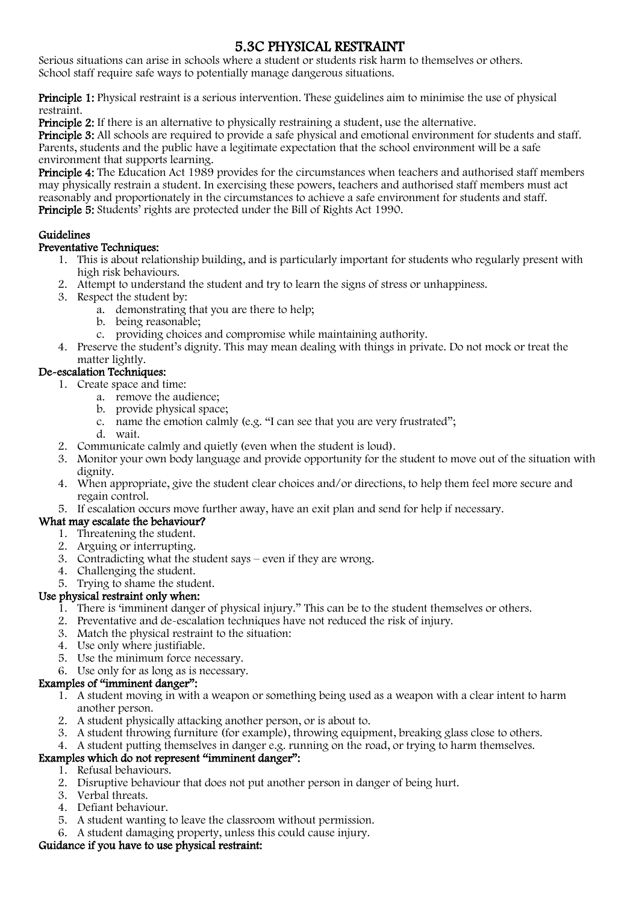## 5.3C PHYSICAL RESTRAINT

Serious situations can arise in schools where a student or students risk harm to themselves or others. School staff require safe ways to potentially manage dangerous situations.

Principle 1: Physical restraint is a serious intervention. These guidelines aim to minimise the use of physical restraint.

Principle 2: If there is an alternative to physically restraining a student, use the alternative.

Principle 3: All schools are required to provide a safe physical and emotional environment for students and staff. Parents, students and the public have a legitimate expectation that the school environment will be a safe environment that supports learning.

Principle 4: The Education Act 1989 provides for the circumstances when teachers and authorised staff members may physically restrain a student. In exercising these powers, teachers and authorised staff members must act reasonably and proportionately in the circumstances to achieve a safe environment for students and staff. Principle 5: Students' rights are protected under the Bill of Rights Act 1990.

#### Guidelines

#### Preventative Techniques:

- 1. This is about relationship building, and is particularly important for students who regularly present with high risk behaviours.
- 2. Attempt to understand the student and try to learn the signs of stress or unhappiness.
- 3. Respect the student by:
	- a. demonstrating that you are there to help;
	- b. being reasonable;
	- c. providing choices and compromise while maintaining authority.
- 4. Preserve the student's dignity. This may mean dealing with things in private. Do not mock or treat the matter lightly.

#### De-escalation Techniques:

- 1. Create space and time:
	- a. remove the audience;
	- b. provide physical space;
	- c. name the emotion calmly (e.g. "I can see that you are very frustrated";
	- d. wait.
- 2. Communicate calmly and quietly (even when the student is loud).
- 3. Monitor your own body language and provide opportunity for the student to move out of the situation with dignity.
- 4. When appropriate, give the student clear choices and/or directions, to help them feel more secure and regain control.
- 5. If escalation occurs move further away, have an exit plan and send for help if necessary.

#### What may escalate the behaviour?

- 1. Threatening the student.
- 2. Arguing or interrupting.
- 3. Contradicting what the student says even if they are wrong.
- 4. Challenging the student.

### 5. Trying to shame the student.

#### Use physical restraint only when:

- 1. There is 'imminent danger of physical injury." This can be to the student themselves or others.
- 2. Preventative and de-escalation techniques have not reduced the risk of injury.
- 3. Match the physical restraint to the situation:
- 4. Use only where justifiable.
- 5. Use the minimum force necessary.
- 6. Use only for as long as is necessary.

#### Examples of "imminent danger":

- 1. A student moving in with a weapon or something being used as a weapon with a clear intent to harm another person.
- 2. A student physically attacking another person, or is about to.
- 3. A student throwing furniture (for example), throwing equipment, breaking glass close to others.
- 4. A student putting themselves in danger e.g. running on the road, or trying to harm themselves.

#### Examples which do not represent "imminent danger":

- 1. Refusal behaviours.
- 2. Disruptive behaviour that does not put another person in danger of being hurt.
- 3. Verbal threats.
- 4. Defiant behaviour.
- 5. A student wanting to leave the classroom without permission.
- 6. A student damaging property, unless this could cause injury.

## Guidance if you have to use physical restraint: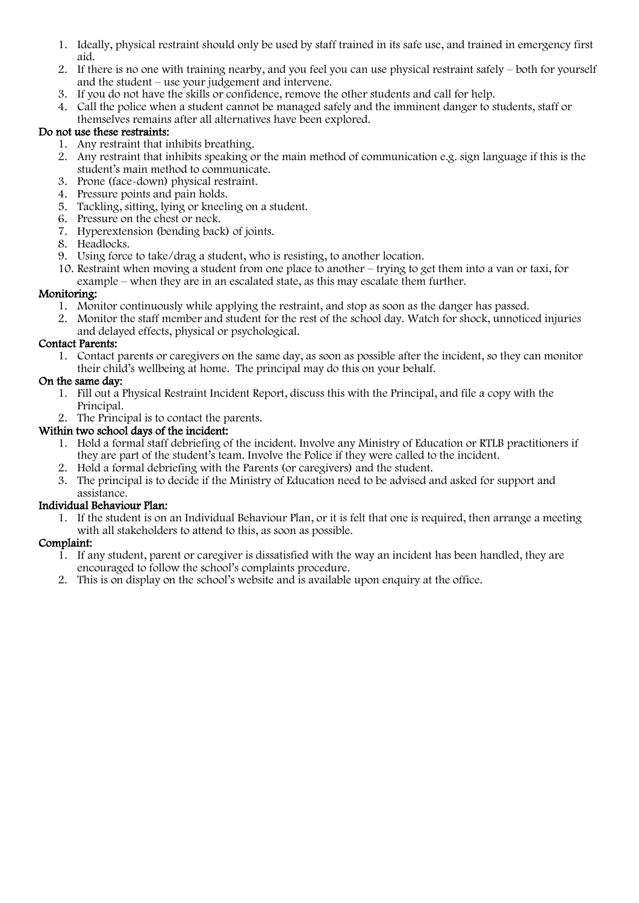- 1. Ideally, physical restraint should only be used by staff trained in its safe use, and trained in emergency first aid.
- 2. If there is no one with training nearby, and you feel you can use physical restraint safely both for yourself and the student – use your judgement and intervene.
- 3. If you do not have the skills or confidence, remove the other students and call for help.
- 4. Call the police when a student cannot be managed safely and the imminent danger to students, staff or themselves remains after all alternatives have been explored.

#### Do not use these restraints:

- 1. Any restraint that inhibits breathing.
- 2. Any restraint that inhibits speaking or the main method of communication e.g. sign language if this is the student's main method to communicate.
- 3. Prone (face-down) physical restraint.
- 4. Pressure points and pain holds.
- 5. Tackling, sitting, lying or kneeling on a student.
- 6. Pressure on the chest or neck.
- 7. Hyperextension (bending back) of joints.
- 8. Headlocks.
- 9. Using force to take/drag a student, who is resisting, to another location.
- 10. Restraint when moving a student from one place to another trying to get them into a van or taxi, for example – when they are in an escalated state, as this may escalate them further.

#### Monitoring:

- 1. Monitor continuously while applying the restraint, and stop as soon as the danger has passed.
- 2. Monitor the staff member and student for the rest of the school day. Watch for shock, unnoticed injuries and delayed effects, physical or psychological.

#### Contact Parents:

1. Contact parents or caregivers on the same day, as soon as possible after the incident, so they can monitor their child's wellbeing at home. The principal may do this on your behalf.

#### On the same day:

- 1. Fill out a Physical Restraint Incident Report, discuss this with the Principal, and file a copy with the Principal.
- 2. The Principal is to contact the parents.

#### Within two school days of the incident:

- 1. Hold a formal staff debriefing of the incident. Involve any Ministry of Education or RTLB practitioners if they are part of the student's team. Involve the Police if they were called to the incident.
- 2. Hold a formal debriefing with the Parents (or caregivers) and the student.
- 3. The principal is to decide if the Ministry of Education need to be advised and asked for support and assistance.

#### Individual Behaviour Plan:

1. If the student is on an Individual Behaviour Plan, or it is felt that one is required, then arrange a meeting with all stakeholders to attend to this, as soon as possible.

#### Complaint:

- 1. If any student, parent or caregiver is dissatisfied with the way an incident has been handled, they are encouraged to follow the school's complaints procedure.
- 2. This is on display on the school's website and is available upon enquiry at the office.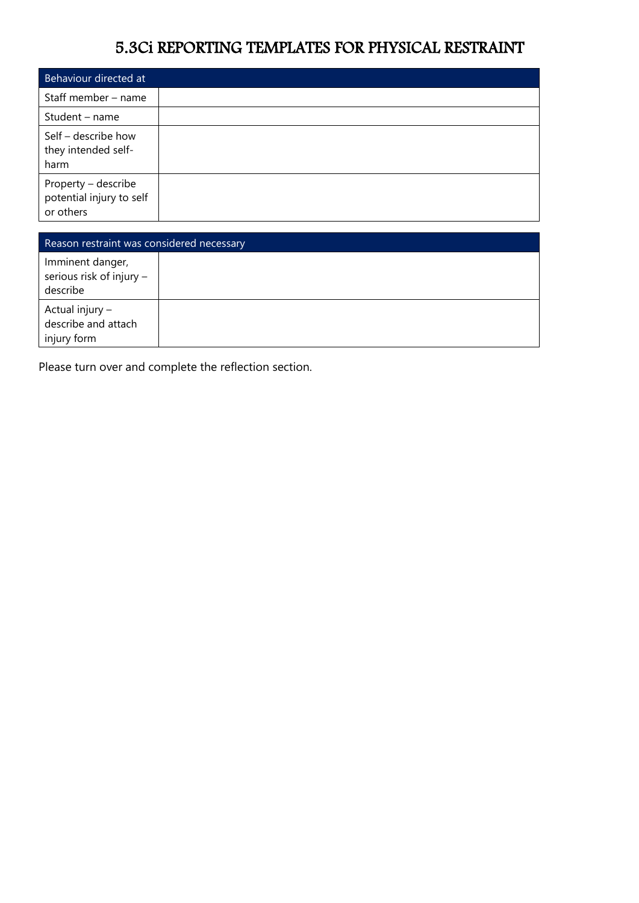## 5.3Ci REPORTING TEMPLATES FOR PHYSICAL RESTRAINT

| Behaviour directed at                                        |  |
|--------------------------------------------------------------|--|
| Staff member - name                                          |  |
| Student - name                                               |  |
| Self - describe how<br>they intended self-<br>harm           |  |
| Property – describe<br>potential injury to self<br>or others |  |

| Reason restraint was considered necessary                |  |  |
|----------------------------------------------------------|--|--|
| Imminent danger,<br>serious risk of injury -<br>describe |  |  |
| Actual injury -<br>describe and attach<br>injury form    |  |  |

Please turn over and complete the reflection section.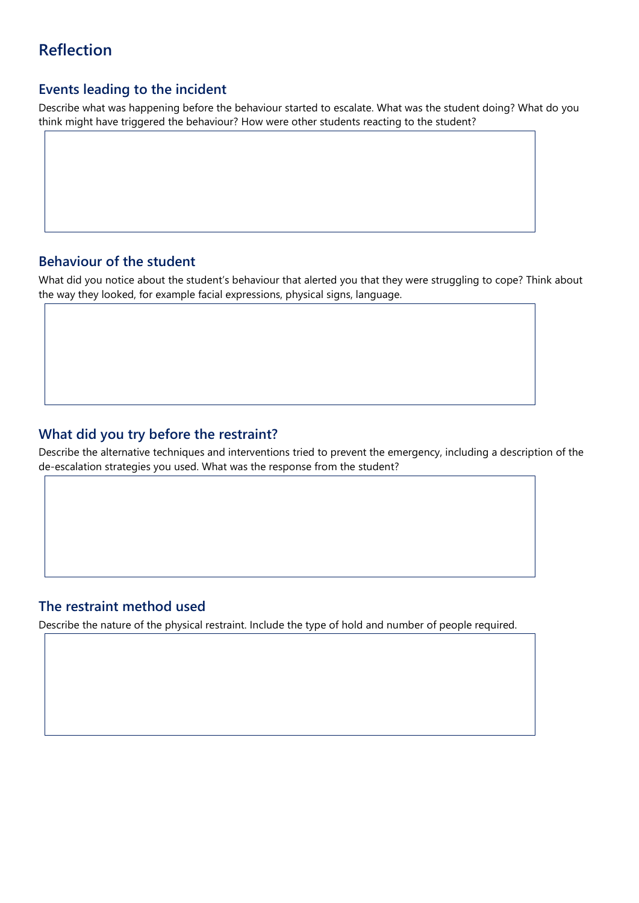## **Reflection**

## **Events leading to the incident**

Describe what was happening before the behaviour started to escalate. What was the student doing? What do you think might have triggered the behaviour? How were other students reacting to the student?

## **Behaviour of the student**

What did you notice about the student's behaviour that alerted you that they were struggling to cope? Think about the way they looked, for example facial expressions, physical signs, language.

## **What did you try before the restraint?**

Describe the alternative techniques and interventions tried to prevent the emergency, including a description of the de-escalation strategies you used. What was the response from the student?

## **The restraint method used**

Describe the nature of the physical restraint. Include the type of hold and number of people required.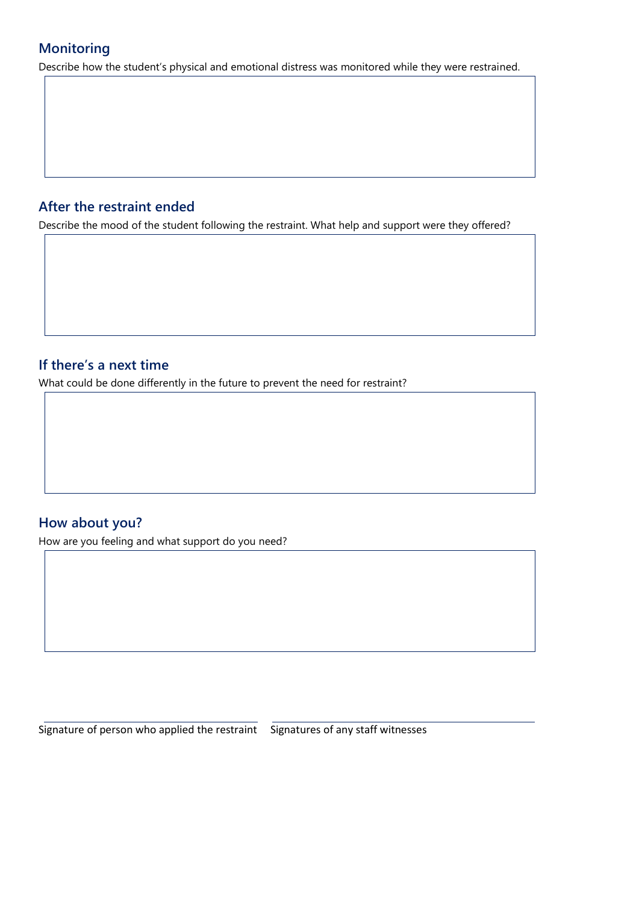## **Monitoring**

Describe how the student's physical and emotional distress was monitored while they were restrained.

## **After the restraint ended**

Describe the mood of the student following the restraint. What help and support were they offered?

## **If there's a next time**

What could be done differently in the future to prevent the need for restraint?

## **How about you?**

How are you feeling and what support do you need?

Signature of person who applied the restraint Signatures of any staff witnesses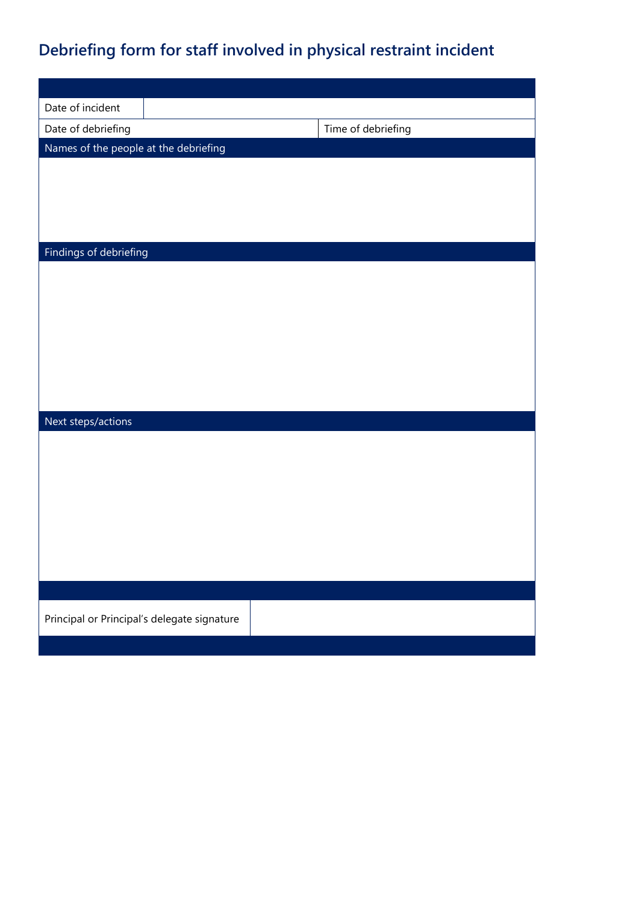# **Debriefing form for staff involved in physical restraint incident**

| Date of incident                            |                    |  |  |
|---------------------------------------------|--------------------|--|--|
| Date of debriefing                          | Time of debriefing |  |  |
| Names of the people at the debriefing       |                    |  |  |
|                                             |                    |  |  |
|                                             |                    |  |  |
|                                             |                    |  |  |
|                                             |                    |  |  |
| Findings of debriefing                      |                    |  |  |
|                                             |                    |  |  |
|                                             |                    |  |  |
|                                             |                    |  |  |
|                                             |                    |  |  |
|                                             |                    |  |  |
|                                             |                    |  |  |
|                                             |                    |  |  |
| Next steps/actions                          |                    |  |  |
|                                             |                    |  |  |
|                                             |                    |  |  |
|                                             |                    |  |  |
|                                             |                    |  |  |
|                                             |                    |  |  |
|                                             |                    |  |  |
|                                             |                    |  |  |
|                                             |                    |  |  |
|                                             |                    |  |  |
| Principal or Principal's delegate signature |                    |  |  |
|                                             |                    |  |  |